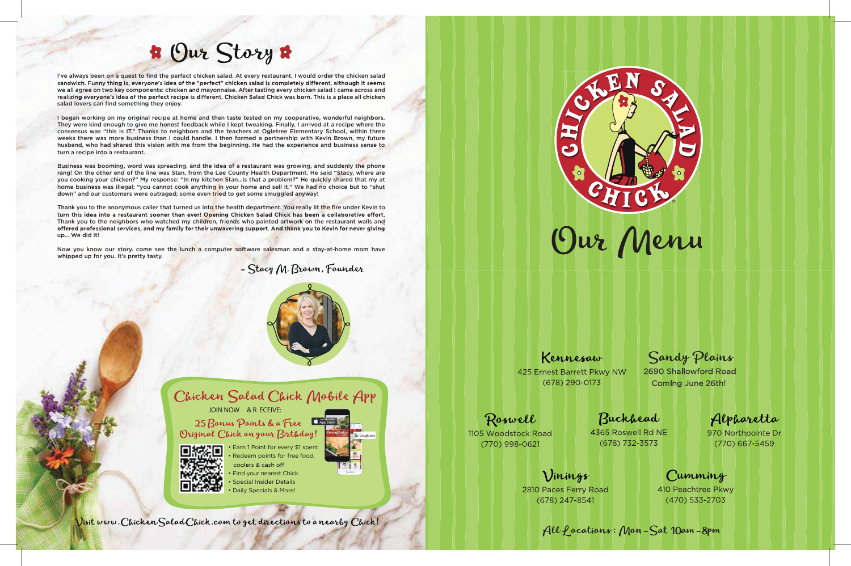

• Earn 1 Point for every \$1 spent Redeem points for free food,

### Kennesaw

425 Ernest Barrett Pkwy NW  $(678)$  290-0173

### Roswell

1105 Woodstock Road  $(770)$  998-0621

Vinings

2810 Paces Ferry Road  $(678)$  247-8541

Sandy Plains

2690 Shallowford Road **Coming June 26th!** 

Buckhead

4365 Roswell Rd NE  $(678)$  732-3573

Alpharetta

970 Northpointe Dr  $(770)$  667-5459

Cumming

410 Peachtree Pkwy  $(470)$  533-2703

All Pocations: Mon-Sat 10am-8pm

- coolers & cash off Find your nearest Chick
- Special Insider Details
- Daily Specials & More!



Visit www. Chicken Salad Chick.com to get directions to a nearby Chick!

JOIN NOW & R ECEIVE:

25 Bonus Points & a Free Original Chick on your Birthday!



# **\*** Our Story \*

I've always been on a quest to find the perfect chicken salad. At every restaurant, I would order the chicken salad sandwich. Funny thing is, everyone's idea of the "perfect" chicken salad is completely different, although it seems we all agree on two key components: chicken and mayonnaise. After tasting every chicken salad I came across and<br>realizing everyone's idea of the perfect recipe is different. Chicken Salad Chick was born. This is a place al salad lovers can find something they enjoy.

I began working on my original recipe at home and then taste tested on my cooperative, wonderful neighbors. They were kind enough to give me honest feedback while I kept tweaking. Finally, I arrived at a recipe where the consensus was "this is IT." Thanks to neighbors and the teachers at Ogletree Elementary School, within three weeks there was more business than I could handle. I then formed a partnership with Kevin Brown, my future husband, who had shared this vision with me from the beginning. He had the experience and business sense to turn a recipe into a restaurant.

Thank you to the anonymous caller that turned us into the health department. You really lit the fire under Kevin to turn this idea into a restaurant sooner than ever! Opening Chicken Salad Chick has been a collaborative effort. Thank you to the neighbors who watched my children, friends who painted artwork on the restaurant walls and offered professional services, and my family for their unwavering support. And thank you to Kevin for never giving up… We did it!

Now you know our story. come see the lunch a computer software salesman and a stay-at-home mom have whipped up for you. It's pretty tasty.

- Stacy M. Brown, Founder





Business was booming, word was spreading, and the idea of a restaurant was growing, and suddenly the phone rang! On the other end of the line was Stan, from the Lee County Health Department. He said "Stacy, where are you cooking your chicken?" My response: "In my kitchen Stan...is that a problem?" He quickly shared that my at home business was illegal; "you cannot cook anything in your home and sell it." We had no choice but to "shut down" and our customers were outraged; some even tried to get some smuggled anyway!